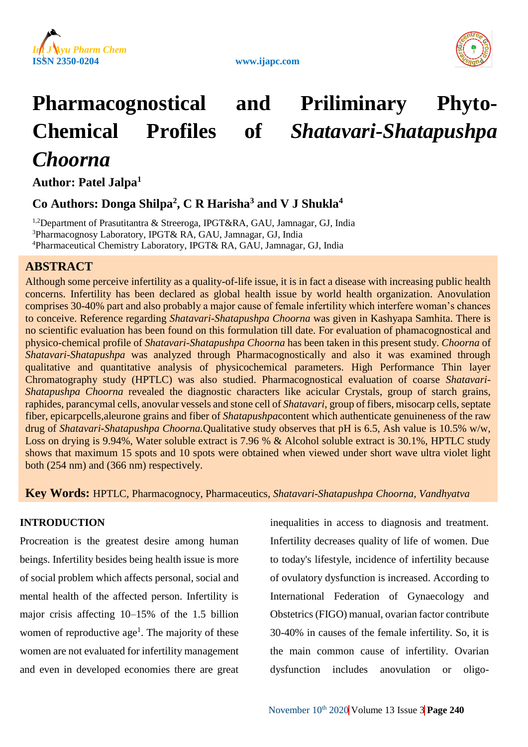





# **Pharmacognostical and Priliminary Phyto-Chemical Profiles of** *Shatavari-Shatapushpa Choorna*

**Author: Patel Jalpa<sup>1</sup>**

# **Co Authors: Donga Shilpa<sup>2</sup> , C R Harisha<sup>3</sup> and V J Shukla<sup>4</sup>**

<sup>1,2</sup>Department of Prasutitantra & Streeroga, IPGT&RA, GAU, Jamnagar, GJ, India <sup>3</sup>Pharmacognosy Laboratory, IPGT& RA, GAU, Jamnagar, GJ, India <sup>4</sup>Pharmaceutical Chemistry Laboratory, IPGT& RA, GAU, Jamnagar, GJ, India

# **ABSTRACT**

Although some perceive infertility as a quality-of-life issue, it is in fact a disease with increasing public health concerns. Infertility has been declared as global health issue by world health organization. Anovulation comprises 30-40% part and also probably a major cause of female infertility which interfere woman's chances to conceive. Reference regarding *Shatavari-Shatapushpa Choorna* was given in Kashyapa Samhita. There is no scientific evaluation has been found on this formulation till date. For evaluation of phamacognostical and physico-chemical profile of *Shatavari-Shatapushpa Choorna* has been taken in this present study. *Choorna* of *Shatavari-Shatapushpa* was analyzed through Pharmacognostically and also it was examined through qualitative and quantitative analysis of physicochemical parameters. High Performance Thin layer Chromatography study (HPTLC) was also studied. Pharmacognostical evaluation of coarse *Shatavari-Shatapushpa Choorna* revealed the diagnostic characters like acicular Crystals, group of starch grains, raphides*,* parancymal cells, anovular vessels and stone cell of *Shatavari*, group of fibers, misocarp cells, septate fiber, epicarpcells,aleurone grains and fiber of *Shatapushpa*content which authenticate genuineness of the raw drug of *Shatavari-Shatapushpa Choorna.*Qualitative study observes that pH is 6.5, Ash value is 10.5% w/w, Loss on drying is 9.94%, Water soluble extract is 7.96 % & Alcohol soluble extract is 30.1%, HPTLC study shows that maximum 15 spots and 10 spots were obtained when viewed under short wave ultra violet light both (254 nm) and (366 nm) respectively.

# **Key Words:** HPTLC*,* Pharmacognocy, Pharmaceutics*, Shatavari-Shatapushpa Choorna, Vandhyatva*

### **INTRODUCTION**

Procreation is the greatest desire among human beings. Infertility besides being health issue is more of social problem which affects personal, social and mental health of the affected person. Infertility is major crisis affecting 10–15% of the 1.5 billion women of reproductive  $age<sup>1</sup>$ . The majority of these women are not evaluated for infertility management and even in developed economies there are great

inequalities in access to diagnosis and treatment. Infertility decreases quality of life of women. Due to today's lifestyle, incidence of infertility because of ovulatory dysfunction is increased. According to International Federation of Gynaecology and Obstetrics (FIGO) manual, ovarian factor contribute 30-40% in causes of the female infertility. So, it is the main common cause of infertility. Ovarian dysfunction includes anovulation or oligo-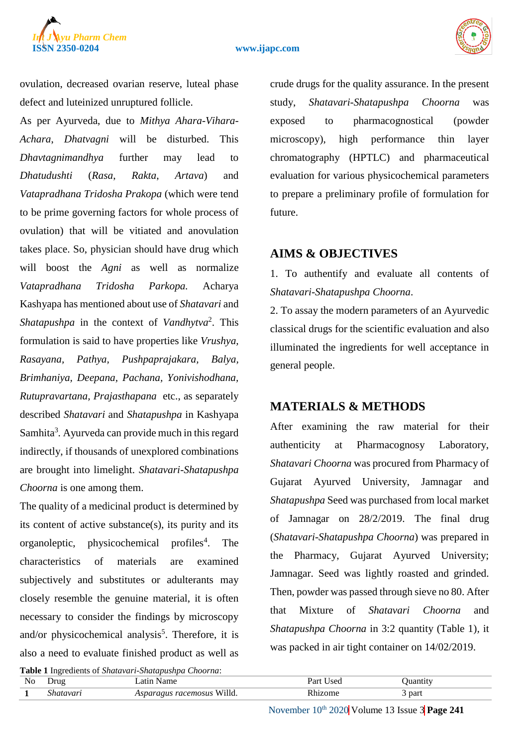

ovulation, decreased ovarian reserve, luteal phase defect and luteinized unruptured follicle.

As per Ayurveda, due to *Mithya Ahara-Vihara-Achara*, *Dhatvagni* will be disturbed. This *Dhavtagnimandhya* further may lead to *Dhatudushti* (*Rasa*, *Rakta*, *Artava*) and *Vatapradhana Tridosha Prakopa* (which were tend to be prime governing factors for whole process of ovulation) that will be vitiated and anovulation takes place. So, physician should have drug which will boost the *Agni* as well as normalize *Vatapradhana Tridosha Parkopa.* Acharya Kashyapa has mentioned about use of *Shatavari* and *Shatapushpa* in the context of *Vandhytva*<sup>2</sup> . This formulation is said to have properties like *Vrushya, Rasayana, Pathya, Pushpaprajakara, Balya, Brimhaniya, Deepana, Pachana, Yonivishodhana, Rutupravartana, Prajasthapana* etc., as separately described *Shatavari* and *Shatapushpa* in Kashyapa Samhita<sup>3</sup>. Ayurveda can provide much in this regard indirectly, if thousands of unexplored combinations are brought into limelight. *Shatavari-Shatapushpa Choorna* is one among them.

The quality of a medicinal product is determined by its content of active substance(s), its purity and its organoleptic, physicochemical profiles<sup>4</sup>. . The characteristics of materials are examined subjectively and substitutes or adulterants may closely resemble the genuine material, it is often necessary to consider the findings by microscopy and/or physicochemical analysis<sup>5</sup>. Therefore, it is also a need to evaluate finished product as well as

crude drugs for the quality assurance. In the present study, *Shatavari-Shatapushpa Choorna* was exposed to pharmacognostical (powder microscopy), high performance thin layer chromatography (HPTLC) and pharmaceutical evaluation for various physicochemical parameters to prepare a preliminary profile of formulation for future.

# **AIMS & OBJECTIVES**

1. To authentify and evaluate all contents of *Shatavari-Shatapushpa Choorna*.

2. To assay the modern parameters of an Ayurvedic classical drugs for the scientific evaluation and also illuminated the ingredients for well acceptance in general people.

# **MATERIALS & METHODS**

After examining the raw material for their authenticity at Pharmacognosy Laboratory, *Shatavari Choorna* was procured from Pharmacy of Gujarat Ayurved University, Jamnagar and *Shatapushpa* Seed was purchased from local market of Jamnagar on 28/2/2019. The final drug (*Shatavari-Shatapushpa Choorna*) was prepared in the Pharmacy, Gujarat Ayurved University; Jamnagar. Seed was lightly roasted and grinded. Then, powder was passed through sieve no 80. After that Mixture of *Shatavari Choorna* and *Shatapushpa Choorna* in 3:2 quantity (Table 1)*,* it was packed in air tight container on 14/02/2019.

| Table 1 Ingredients of Shatavari-Shatapushpa Choorna: |           |                                   |           |          |  |  |  |
|-------------------------------------------------------|-----------|-----------------------------------|-----------|----------|--|--|--|
| No                                                    | Drug      | Latin Name                        | Part Used | Juantity |  |  |  |
|                                                       | Shatavari | <i>Asparagus racemosus</i> Willd. | Rhizome   | part     |  |  |  |

November  $10^{th}$  2020 Volume 13 Issue 3 Page 241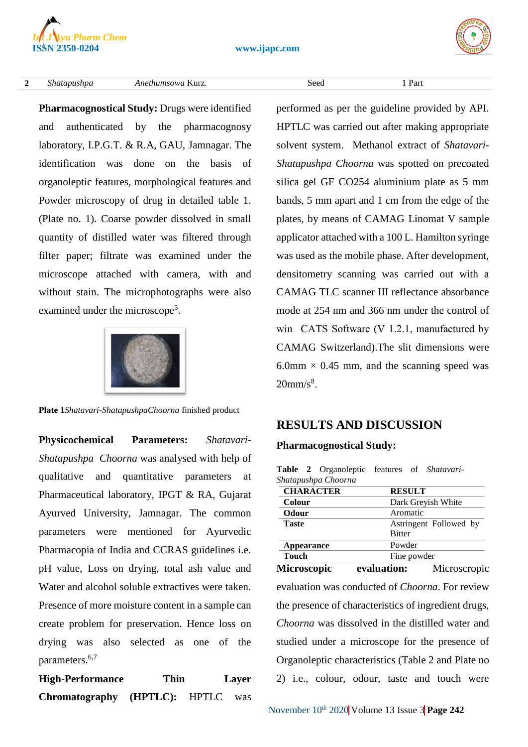

#### **2** *Shatapushpa Anethumsowa* Kurz. Seed 1 Part

**Pharmacognostical Study:** Drugs were identified and authenticated by the pharmacognosy laboratory, I.P.G.T. & R.A, GAU, Jamnagar. The identification was done on the basis of organoleptic features, morphological features and Powder microscopy of drug in detailed table 1. (Plate no. 1). Coarse powder dissolved in small quantity of distilled water was filtered through filter paper; filtrate was examined under the microscope attached with camera, with and without stain. The microphotographs were also examined under the microscope<sup>5</sup>.



**Plate 1***Shatavari-ShatapushpaChoorna* finished product

**Physicochemical Parameters:** *Shatavari-Shatapushpa Choorna* was analysed with help of qualitative and quantitative parameters at Pharmaceutical laboratory, IPGT & RA, Gujarat Ayurved University, Jamnagar. The common parameters were mentioned for Ayurvedic Pharmacopia of India and CCRAS guidelines i.e. pH value, Loss on drying, total ash value and Water and alcohol soluble extractives were taken. Presence of more moisture content in a sample can create problem for preservation. Hence loss on drying was also selected as one of the parameters. 6,7

**High-Performance Thin Layer Chromatography (HPTLC):** HPTLC was

performed as per the guideline provided by API. HPTLC was carried out after making appropriate solvent system. Methanol extract of *Shatavari-Shatapushpa Choorna* was spotted on precoated silica gel GF CO254 aluminium plate as 5 mm bands, 5 mm apart and 1 cm from the edge of the plates, by means of CAMAG Linomat V sample applicator attached with a 100 L. Hamilton syringe was used as the mobile phase. After development, densitometry scanning was carried out with a CAMAG TLC scanner III reflectance absorbance mode at 254 nm and 366 nm under the control of win  CATS Software (V 1.2.1, manufactured by CAMAG Switzerland).The slit dimensions were 6.0mm  $\times$  0.45 mm, and the scanning speed was  $20$ mm/s $8$ .

# **RESULTS AND DISCUSSION**

#### **Pharmacognostical Study:**

**Table 2** Organoleptic features of *Shatavari-Shatapushpa Choorna*

| <b>CHARACTER</b>   | <b>RESULT</b>      |                        |
|--------------------|--------------------|------------------------|
| Colour             | Dark Greyish White |                        |
| Odour              | Aromatic           |                        |
| <b>Taste</b>       |                    | Astringent Followed by |
|                    | <b>Bitter</b>      |                        |
| Appearance         | Powder             |                        |
| <b>Touch</b>       | Fine powder        |                        |
| <b>Microscopic</b> | evaluation:        | Microscropic           |

evaluation was conducted of *Choorna*. For review the presence of characteristics of ingredient drugs, *Choorna* was dissolved in the distilled water and studied under a microscope for the presence of Organoleptic characteristics (Table 2 and Plate no 2) i.e., colour, odour, taste and touch were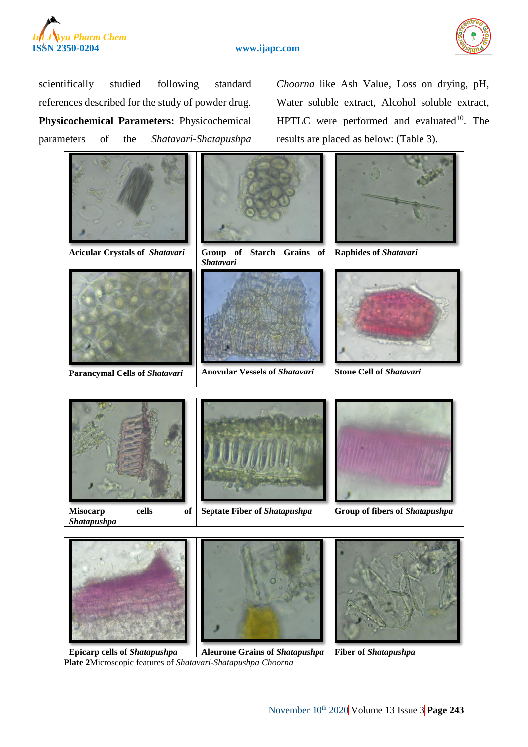



scientifically studied following standard references described for the study of powder drug. **Physicochemical Parameters:** Physicochemical parameters of the *Shatavari-Shatapushpa*

*Choorna* like Ash Value, Loss on drying, pH, Water soluble extract, Alcohol soluble extract, HPTLC were performed and evaluated $10$ . The results are placed as below: (Table 3).



**Epicarp cells of** *Shatapushpa* **Aleurone Grains of** *Shatapushpa* **Fiber of** *Shatapushpa* **Plate 2**Microscopic features of *Shatavari-Shatapushpa Choorna*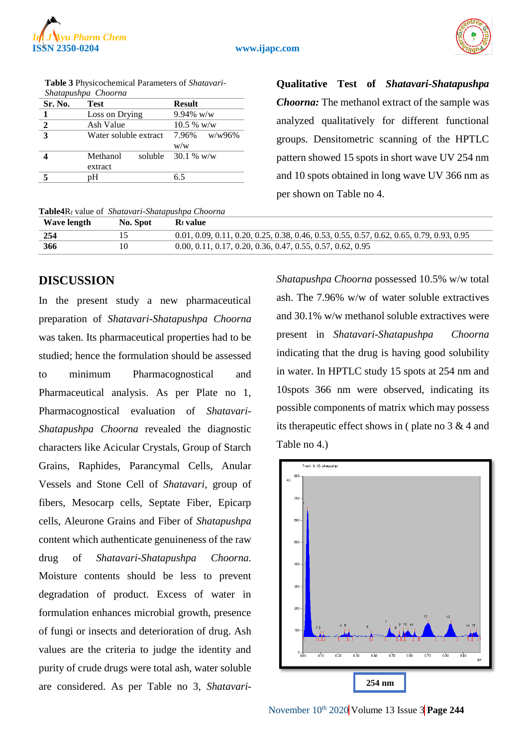



| Shatapushpa Choorna |                       |               |  |  |  |
|---------------------|-----------------------|---------------|--|--|--|
| Sr. No.             | <b>Test</b>           | <b>Result</b> |  |  |  |
|                     | Loss on Drying        | $9.94\%$ w/w  |  |  |  |
| $\mathbf{2}$        | Ash Value             | $10.5 %$ w/w  |  |  |  |
| 3                   | Water soluble extract | 7.96% w/w96%  |  |  |  |
|                     |                       | W/W           |  |  |  |
|                     | Methanol<br>soluble   | 30.1 % w/w    |  |  |  |
|                     | extract               |               |  |  |  |
|                     | pН                    | 65            |  |  |  |

**Table 3** Physicochemical Parameters of *Shatavari-*

#### **Table4**R<sup>f</sup> value of *Shatavari-Shatapushpa Choorna*

**Qualitative Test of** *Shatavari-Shatapushpa Choorna:* The methanol extract of the sample was analyzed qualitatively for different functional groups. Densitometric scanning of the HPTLC pattern showed 15 spots in short wave UV 254 nm and 10 spots obtained in long wave UV 366 nm as per shown on Table no 4.

| <b>Rabic+Nf</b> value of <i>Shalavan-Shalapushpa</i> Choorna |          |                                                                                            |  |  |  |
|--------------------------------------------------------------|----------|--------------------------------------------------------------------------------------------|--|--|--|
| Wave length                                                  | No. Spot | <b>R</b> t value                                                                           |  |  |  |
| 254                                                          |          | $0.01, 0.09, 0.11, 0.20, 0.25, 0.38, 0.46, 0.53, 0.55, 0.57, 0.62, 0.65, 0.79, 0.93, 0.95$ |  |  |  |
| 366                                                          | 10       | $0.00, 0.11, 0.17, 0.20, 0.36, 0.47, 0.55, 0.57, 0.62, 0.95$                               |  |  |  |

# **DISCUSSION**

In the present study a new pharmaceutical preparation of *Shatavari-Shatapushpa Choorna* was taken. Its pharmaceutical properties had to be studied; hence the formulation should be assessed to minimum Pharmacognostical and Pharmaceutical analysis. As per Plate no 1, Pharmacognostical evaluation of *Shatavari-Shatapushpa Choorna* revealed the diagnostic characters like Acicular Crystals, Group of Starch Grains, Raphides*,* Parancymal Cells, Anular Vessels and Stone Cell of *Shatavari*, group of fibers, Mesocarp cells, Septate Fiber, Epicarp cells, Aleurone Grains and Fiber of *Shatapushpa* content which authenticate genuineness of the raw drug of *Shatavari-Shatapushpa Choorna.* Moisture contents should be less to prevent degradation of product. Excess of water in formulation enhances microbial growth, presence of fungi or insects and deterioration of drug. Ash values are the criteria to judge the identity and purity of crude drugs were total ash, water soluble are considered. As per Table no 3, *Shatavari-* *Shatapushpa Choorna* possessed 10.5% w/w total ash. The 7.96% w/w of water soluble extractives and 30.1% w/w methanol soluble extractives were present in *Shatavari-Shatapushpa Choorna* indicating that the drug is having good solubility in water. In HPTLC study 15 spots at 254 nm and 10spots 366 nm were observed, indicating its possible components of matrix which may possess its therapeutic effect shows in ( plate no  $3 \& 4$  and Table no 4.)



November  $10^{th}$  2020 Volume 13 Issue 3 Page 244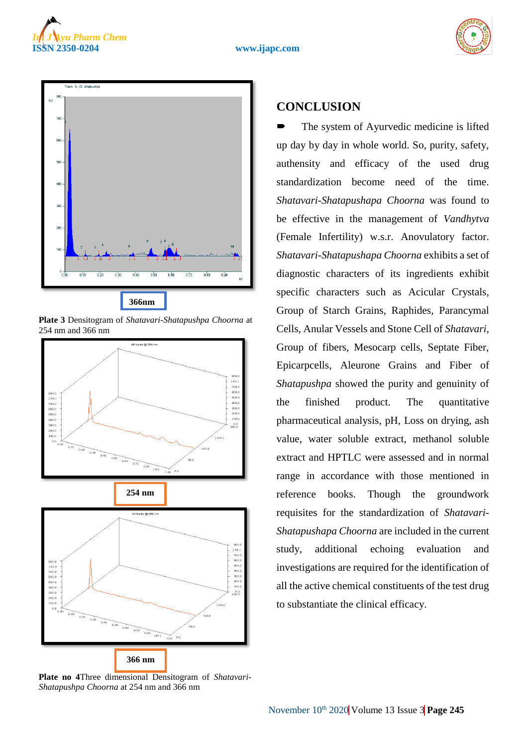







**Plate 3** Densitogram of *Shatavari-Shatapushpa Choorna* at 254 nm and 366 nm



**Plate no 4**Three dimensional Densitogram of *Shatavari-Shatapushpa Choorna* at 254 nm and 366 nm

# **CONCLUSION**

 The system of Ayurvedic medicine is lifted up day by day in whole world. So, purity, safety, authensity and efficacy of the used drug standardization become need of the time. *Shatavari-Shatapushapa Choorna* was found to be effective in the management of *Vandhytva* (Female Infertility) w.s.r. Anovulatory factor. *Shatavari-Shatapushapa Choorna* exhibits a set of diagnostic characters of its ingredients exhibit specific characters such as Acicular Crystals, Group of Starch Grains, Raphides*,* Parancymal Cells, Anular Vessels and Stone Cell of *Shatavari*, Group of fibers, Mesocarp cells, Septate Fiber, Epicarpcells, Aleurone Grains and Fiber of *Shatapushpa* showed the purity and genuinity of the finished product. The quantitative pharmaceutical analysis, pH, Loss on drying, ash value, water soluble extract, methanol soluble extract and HPTLC were assessed and in normal range in accordance with those mentioned in reference books. Though the groundwork requisites for the standardization of *Shatavari-Shatapushapa Choorna* are included in the current study, additional echoing evaluation and investigations are required for the identification of all the active chemical constituents of the test drug to substantiate the clinical efficacy.